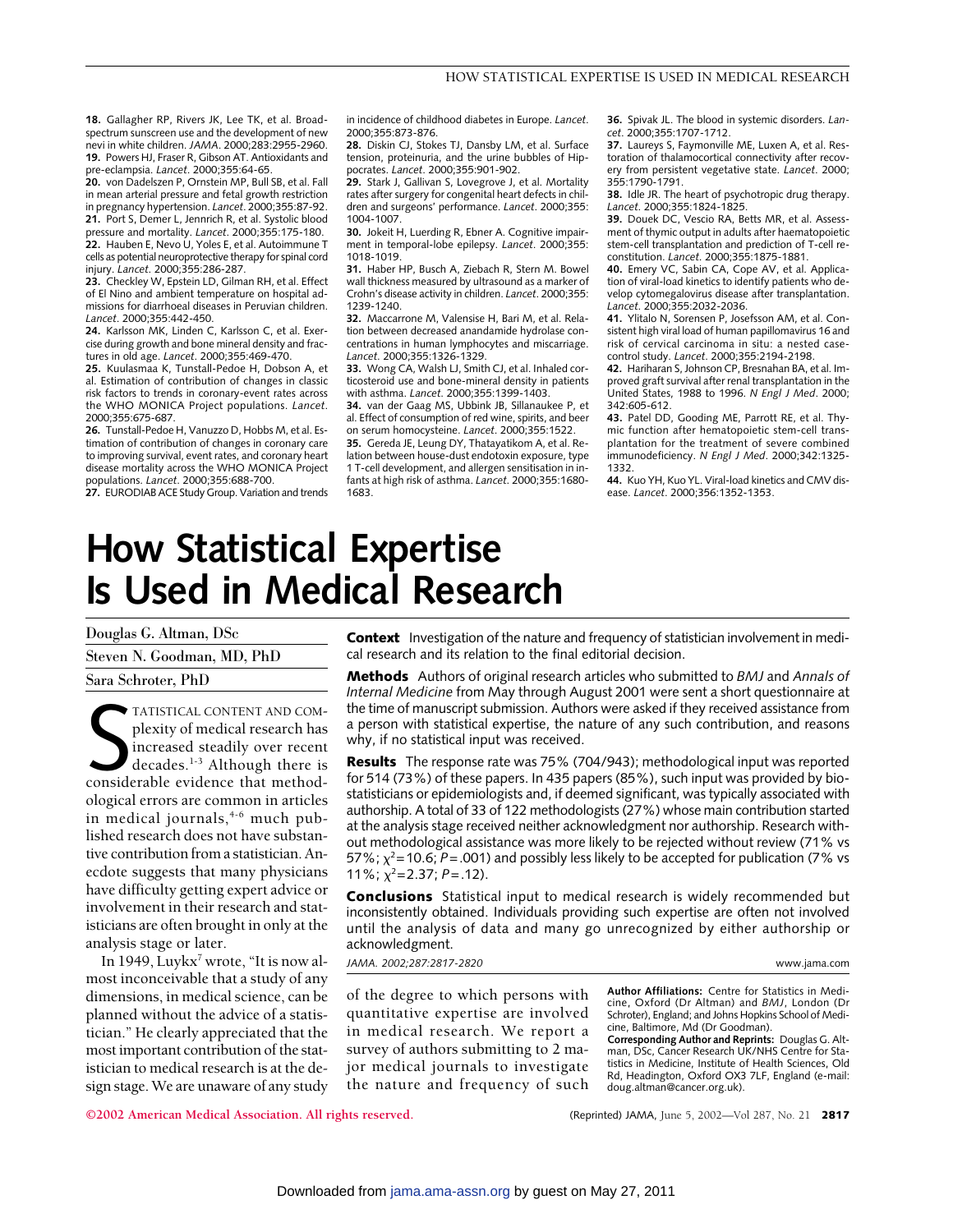**18.** Gallagher RP, Rivers JK, Lee TK, et al. Broadspectrum sunscreen use and the development of new nevi in white children. *JAMA*. 2000;283:2955-2960. **19.** Powers HJ, Fraser R, Gibson AT. Antioxidants and pre-eclampsia. *Lancet*. 2000;355:64-65.

**20.** von Dadelszen P, Ornstein MP, Bull SB, et al. Fall in mean arterial pressure and fetal growth restriction in pregnancy hypertension. *Lancet*. 2000;355:87-92. **21.** Port S, Demer L, Jennrich R, et al. Systolic blood pressure and mortality. *Lancet*. 2000;355:175-180. **22.** Hauben E, Nevo U, Yoles E, et al. Autoimmune T cells as potential neuroprotective therapy for spinal cord injury. *Lancet*. 2000;355:286-287.

**23.** Checkley W, Epstein LD, Gilman RH, et al. Effect of El Nino and ambient temperature on hospital admissions for diarrhoeal diseases in Peruvian children. *Lancet*. 2000;355:442-450.

**24.** Karlsson MK, Linden C, Karlsson C, et al. Exercise during growth and bone mineral density and fractures in old age. *Lancet*. 2000;355:469-470.

**25.** Kuulasmaa K, Tunstall-Pedoe H, Dobson A, et al. Estimation of contribution of changes in classic risk factors to trends in coronary-event rates across the WHO MONICA Project populations. *Lancet*. 2000;355:675-687.

**26.** Tunstall-Pedoe H, Vanuzzo D, Hobbs M, et al. Estimation of contribution of changes in coronary care to improving survival, event rates, and coronary heart disease mortality across the WHO MONICA Project populations. *Lancet*. 2000;355:688-700.

**27.** EURODIAB ACE Study Group. Variation and trends

in incidence of childhood diabetes in Europe. *Lancet*. 2000;355:873-876.

**28.** Diskin CJ, Stokes TJ, Dansby LM, et al. Surface tension, proteinuria, and the urine bubbles of Hippocrates. *Lancet*. 2000;355:901-902.

**29.** Stark J, Gallivan S, Lovegrove J, et al. Mortality rates after surgery for congenital heart defects in children and surgeons' performance. *Lancet*. 2000;355: 1004-1007.

**30.** Jokeit H, Luerding R, Ebner A. Cognitive impairment in temporal-lobe epilepsy. *Lancet*. 2000;355: 1018-1019.

**31.** Haber HP, Busch A, Ziebach R, Stern M. Bowel wall thickness measured by ultrasound as a marker of Crohn's disease activity in children. *Lancet*. 2000;355: 1239-1240.

**32.** Maccarrone M, Valensise H, Bari M, et al. Relation between decreased anandamide hydrolase concentrations in human lymphocytes and miscarriage. *Lancet*. 2000;355:1326-1329.

**33.** Wong CA, Walsh LJ, Smith CJ, et al. Inhaled corticosteroid use and bone-mineral density in patients with asthma. *Lancet*. 2000;355:1399-1403.

**34.** van der Gaag MS, Ubbink JB, Sillanaukee P, et al. Effect of consumption of red wine, spirits, and beer on serum homocysteine. *Lancet*. 2000;355:1522.

**35.** Gereda JE, Leung DY, Thatayatikom A, et al. Relation between house-dust endotoxin exposure, type 1 T-cell development, and allergen sensitisation in infants at high risk of asthma. *Lancet*. 2000;355:1680- 1683.

**36.** Spivak JL. The blood in systemic disorders. *Lancet*. 2000;355:1707-1712.

**37.** Laureys S, Faymonville ME, Luxen A, et al. Restoration of thalamocortical connectivity after recovery from persistent vegetative state. *Lancet*. 2000; 355:1790-1791.

**38.** Idle JR. The heart of psychotropic drug therapy. *Lancet*. 2000;355:1824-1825.

**39.** Douek DC, Vescio RA, Betts MR, et al. Assessment of thymic output in adults after haematopoietic stem-cell transplantation and prediction of T-cell reconstitution. *Lancet*. 2000;355:1875-1881.

**40.** Emery VC, Sabin CA, Cope AV, et al. Application of viral-load kinetics to identify patients who develop cytomegalovirus disease after transplantation. *Lancet*. 2000;355:2032-2036.

**41.** Ylitalo N, Sorensen P, Josefsson AM, et al. Consistent high viral load of human papillomavirus 16 and risk of cervical carcinoma in situ: a nested casecontrol study. *Lancet*. 2000;355:2194-2198.

**42.** Hariharan S, Johnson CP, Bresnahan BA, et al. Improved graft survival after renal transplantation in the United States, 1988 to 1996. *N Engl J Med*. 2000; 342:605-612.

**43.** Patel DD, Gooding ME, Parrott RE, et al. Thymic function after hematopoietic stem-cell transplantation for the treatment of severe combined immunodeficiency. *N Engl J Med*. 2000;342:1325- 1332.

**44.** Kuo YH, Kuo YL. Viral-load kinetics and CMV disease. *Lancet*. 2000;356:1352-1353.

# **How Statistical Expertise Is Used in Medical Research**

Douglas G. Altman, DSc Steven N. Goodman, MD, PhD Sara Schroter, PhD

TATISTICAL CONTENT AND COM-<br>plexity of medical research has<br>increased steadily over recent<br>decades.<sup>1-3</sup> Although there is<br>considerable evidence that method-TATISTICAL CONTENT AND COMplexity of medical research has increased steadily over recent decades.1-3 Although there is ological errors are common in articles in medical journals,<sup>4-6</sup> much published research does not have substantive contribution from a statistician. Anecdote suggests that many physicians have difficulty getting expert advice or involvement in their research and statisticians are often brought in only at the analysis stage or later.

In 1949, Luykx<sup>7</sup> wrote, "It is now almost inconceivable that a study of any dimensions, in medical science, can be planned without the advice of a statistician." He clearly appreciated that the most important contribution of the statistician to medical research is at the design stage. We are unaware of any study

**Context** Investigation of the nature and frequency of statistician involvement in medical research and its relation to the final editorial decision.

**Methods** Authors of original research articles who submitted to *BMJ* and *Annals of Internal Medicine* from May through August 2001 were sent a short questionnaire at the time of manuscript submission. Authors were asked if they received assistance from a person with statistical expertise, the nature of any such contribution, and reasons why, if no statistical input was received.

**Results** The response rate was 75% (704/943); methodological input was reported for 514 (73%) of these papers. In 435 papers (85%), such input was provided by biostatisticians or epidemiologists and, if deemed significant, was typically associated with authorship. A total of 33 of 122 methodologists (27%) whose main contribution started at the analysis stage received neither acknowledgment nor authorship. Research without methodological assistance was more likely to be rejected without review (71% vs 57%;  $\chi^2$ =10.6; P=.001) and possibly less likely to be accepted for publication (7% vs 11%;  $\chi^2$ =2.37; *P*=.12).

**Conclusions** Statistical input to medical research is widely recommended but inconsistently obtained. Individuals providing such expertise are often not involved until the analysis of data and many go unrecognized by either authorship or acknowledgment.

*JAMA. 2002;287:2817-2820* www.jama.com

of the degree to which persons with quantitative expertise are involved in medical research. We report a survey of authors submitting to 2 major medical journals to investigate the nature and frequency of such

**Author Affiliations:** Centre for Statistics in Medicine, Oxford (Dr Altman) and *BMJ*, London (Dr Schroter), England; and Johns Hopkins School of Medicine, Baltimore, Md (Dr Goodman).

**Corresponding Author and Reprints:** Douglas G. Altman, DSc, Cancer Research UK/NHS Centre for Statistics in Medicine, Institute of Health Sciences, Old Rd, Headington, Oxford OX3 7LF, England (e-mail: doug.altman@cancer.org.uk).

**©2002 American Medical Association. All rights reserved.** (Reprinted) JAMA, June 5, 2002—Vol 287, No. 21 **2817**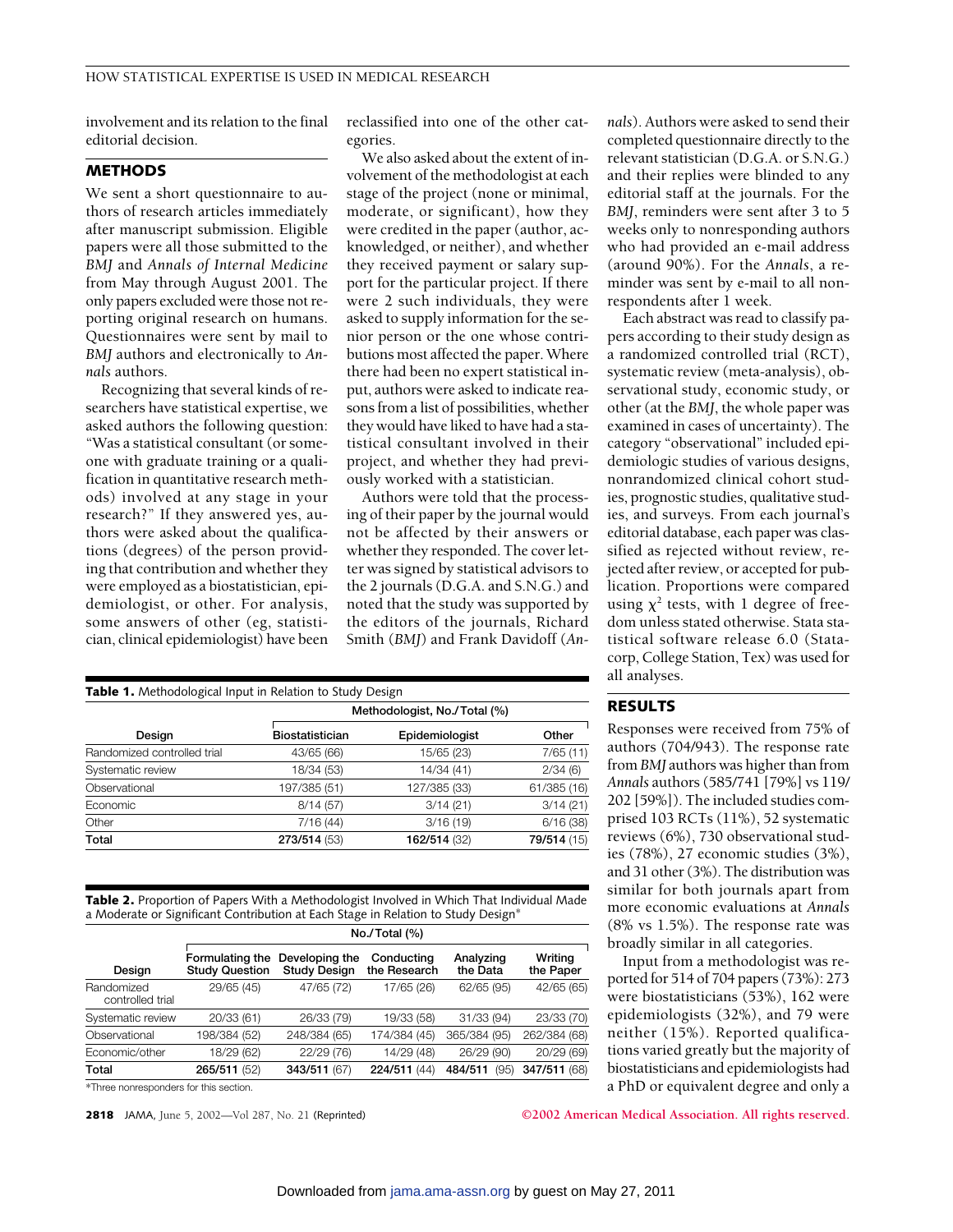involvement and its relation to the final editorial decision.

# **METHODS**

We sent a short questionnaire to authors of research articles immediately after manuscript submission. Eligible papers were all those submitted to the *BMJ* and *Annals of Internal Medicine* from May through August 2001. The only papers excluded were those not reporting original research on humans. Questionnaires were sent by mail to *BMJ* authors and electronically to *Annals* authors.

Recognizing that several kinds of researchers have statistical expertise, we asked authors the following question: "Was a statistical consultant (or someone with graduate training or a qualification in quantitative research methods) involved at any stage in your research?" If they answered yes, authors were asked about the qualifications (degrees) of the person providing that contribution and whether they were employed as a biostatistician, epidemiologist, or other. For analysis, some answers of other (eg, statistician, clinical epidemiologist) have been

reclassified into one of the other categories.

We also asked about the extent of involvement of the methodologist at each stage of the project (none or minimal, moderate, or significant), how they were credited in the paper (author, acknowledged, or neither), and whether they received payment or salary support for the particular project. If there were 2 such individuals, they were asked to supply information for the senior person or the one whose contributions most affected the paper. Where there had been no expert statistical input, authors were asked to indicate reasons from a list of possibilities, whether they would have liked to have had a statistical consultant involved in their project, and whether they had previously worked with a statistician.

Authors were told that the processing of their paper by the journal would not be affected by their answers or whether they responded. The cover letter was signed by statistical advisors to the 2 journals (D.G.A. and S.N.G.) and noted that the study was supported by the editors of the journals, Richard Smith (*BMJ*) and Frank Davidoff (*An-*

| Table 1. Methodological Input in Relation to Study Design |                              |                |             |  |  |
|-----------------------------------------------------------|------------------------------|----------------|-------------|--|--|
|                                                           | Methodologist, No./Total (%) |                |             |  |  |
| Design                                                    | Biostatistician              | Epidemiologist | Other       |  |  |
| Randomized controlled trial                               | 43/65 (66)                   | 15/65 (23)     | 7/65(11)    |  |  |
| Systematic review                                         | 18/34 (53)                   | 14/34 (41)     | 2/34(6)     |  |  |
| Observational                                             | 197/385 (51)                 | 127/385 (33)   | 61/385 (16) |  |  |
| Economic                                                  | 8/14(57)                     | 3/14(21)       | 3/14(21)    |  |  |
| Other                                                     | 7/16(44)                     | 3/16(19)       | 6/16(38)    |  |  |
| Total                                                     | 273/514 (53)                 | 162/514 (32)   | 79/514 (15) |  |  |

**Table 2.** Proportion of Papers With a Methodologist Involved in Which That Individual Made a Moderate or Significant Contribution at Each Stage in Relation to Study Design\*

|                                | No./Total (%)                            |                                       |                            |                       |                      |  |
|--------------------------------|------------------------------------------|---------------------------------------|----------------------------|-----------------------|----------------------|--|
| Design                         | Formulating the<br><b>Study Question</b> | Developing the<br><b>Study Design</b> | Conducting<br>the Research | Analyzing<br>the Data | Writing<br>the Paper |  |
| Randomized<br>controlled trial | 29/65 (45)                               | 47/65 (72)                            | 17/65 (26)                 | 62/65 (95)            | 42/65 (65)           |  |
| Systematic review              | 20/33 (61)                               | 26/33 (79)                            | 19/33 (58)                 | 31/33 (94)            | 23/33 (70)           |  |
| Observational                  | 198/384 (52)                             | 248/384 (65)                          | 174/384 (45)               | 365/384 (95)          | 262/384 (68)         |  |
| Economic/other                 | 18/29 (62)                               | 22/29 (76)                            | 14/29 (48)                 | 26/29 (90)            | 20/29 (69)           |  |
| Total                          | 265/511 (52)                             | 343/511 (67)                          | 224/511 (44)               | (95)<br>484/511       | 347/511 (68)         |  |

\*Three nonresponders for this section.

*nals*). Authors were asked to send their completed questionnaire directly to the relevant statistician (D.G.A. or S.N.G.) and their replies were blinded to any editorial staff at the journals. For the *BMJ*, reminders were sent after 3 to 5 weeks only to nonresponding authors who had provided an e-mail address (around 90%). For the *Annals*, a reminder was sent by e-mail to all nonrespondents after 1 week.

Each abstract was read to classify papers according to their study design as a randomized controlled trial (RCT), systematic review (meta-analysis), observational study, economic study, or other (at the *BMJ*, the whole paper was examined in cases of uncertainty). The category "observational" included epidemiologic studies of various designs, nonrandomized clinical cohort studies, prognostic studies, qualitative studies, and surveys. From each journal's editorial database, each paper was classified as rejected without review, rejected after review, or accepted for publication. Proportions were compared using  $\chi^2$  tests, with 1 degree of freedom unless stated otherwise. Stata statistical software release 6.0 (Statacorp, College Station, Tex) was used for all analyses.

### **RESULTS**

Responses were received from 75% of authors (704/943). The response rate from *BMJ* authors was higher than from *Annals* authors (585/741 [79%] vs 119/ 202 [59%]). The included studies comprised 103 RCTs (11%), 52 systematic reviews (6%), 730 observational studies (78%), 27 economic studies (3%), and 31 other (3%). The distribution was similar for both journals apart from more economic evaluations at *Annals* (8% vs 1.5%). The response rate was broadly similar in all categories.

Input from a methodologist was reported for 514 of 704 papers (73%): 273 were biostatisticians (53%), 162 were epidemiologists (32%), and 79 were neither (15%). Reported qualifications varied greatly but the majority of biostatisticians and epidemiologists had a PhD or equivalent degree and only a

**2818** JAMA, June 5, 2002—Vol 287, No. 21 (Reprinted) **©2002 American Medical Association. All rights reserved.**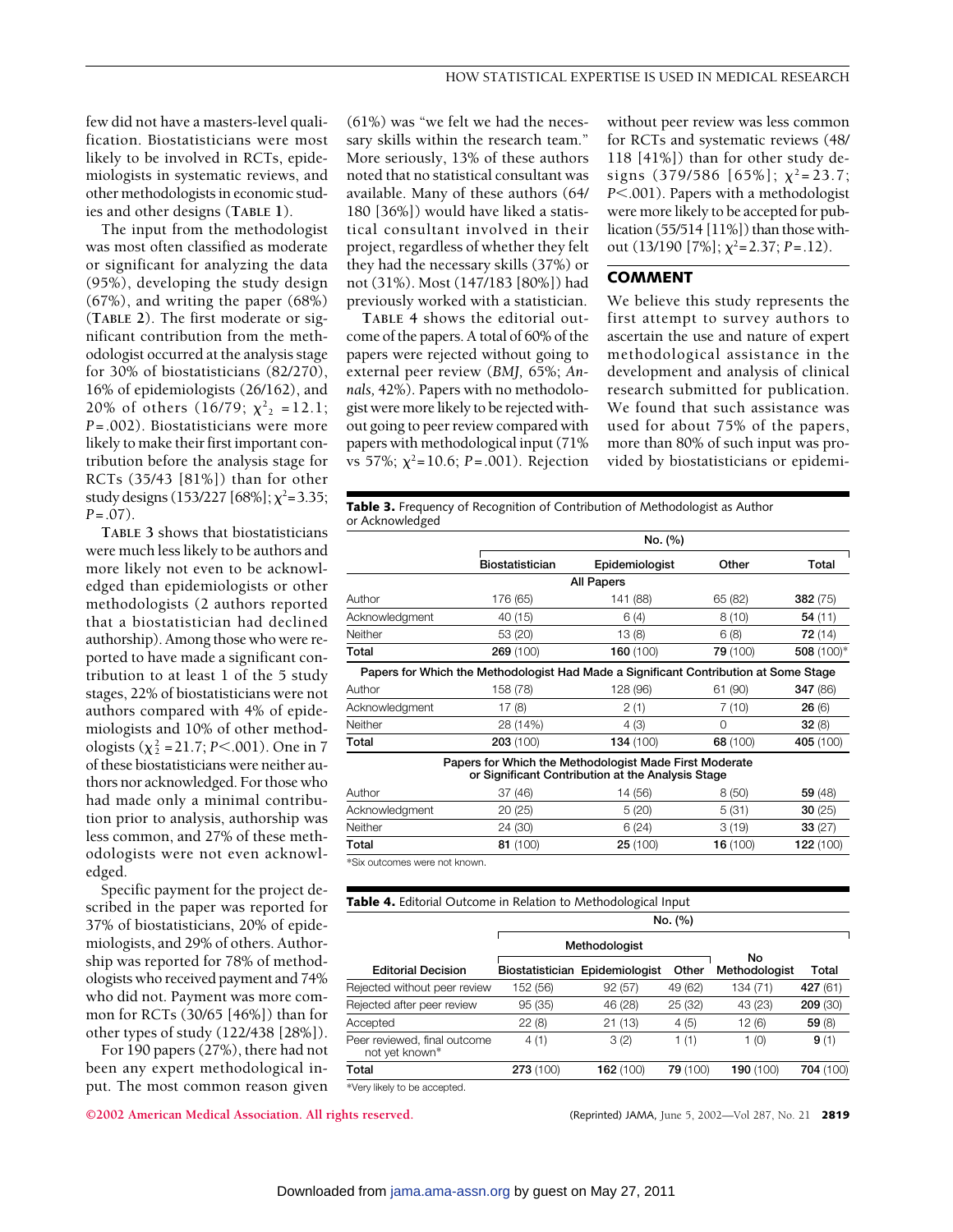few did not have a masters-level qualification. Biostatisticians were most likely to be involved in RCTs, epidemiologists in systematic reviews, and other methodologists in economic studies and other designs (**TABLE 1**).

The input from the methodologist was most often classified as moderate or significant for analyzing the data (95%), developing the study design (67%), and writing the paper (68%) (**TABLE 2**). The first moderate or significant contribution from the methodologist occurred at the analysis stage for 30% of biostatisticians (82/270), 16% of epidemiologists (26/162), and 20% of others (16/79;  $\chi^2$ <sub>2</sub> = 12.1; *P*=.002). Biostatisticians were more likely to make their first important contribution before the analysis stage for RCTs (35/43 [81%]) than for other study designs (153/227 [68%];  $\chi^2$ =3.35; *P*=.07).

**TABLE 3** shows that biostatisticians were much less likely to be authors and more likely not even to be acknowledged than epidemiologists or other methodologists (2 authors reported that a biostatistician had declined authorship). Among those who were reported to have made a significant contribution to at least 1 of the 5 study stages, 22% of biostatisticians were not authors compared with 4% of epidemiologists and 10% of other methodologists ( $\chi^2$  = 21.7; *P*<.001). One in 7 of these biostatisticians were neither authors nor acknowledged. For those who had made only a minimal contribution prior to analysis, authorship was less common, and 27% of these methodologists were not even acknowledged.

Specific payment for the project described in the paper was reported for 37% of biostatisticians, 20% of epidemiologists, and 29% of others. Authorship was reported for 78% of methodologists who received payment and 74% who did not. Payment was more common for RCTs (30/65 [46%]) than for other types of study (122/438 [28%]).

For 190 papers (27%), there had not been any expert methodological input. The most common reason given (61%) was "we felt we had the necessary skills within the research team." More seriously, 13% of these authors noted that no statistical consultant was available. Many of these authors (64/ 180 [36%]) would have liked a statistical consultant involved in their project, regardless of whether they felt they had the necessary skills (37%) or not (31%). Most (147/183 [80%]) had previously worked with a statistician.

**TABLE 4** shows the editorial outcome of the papers. A total of 60% of the papers were rejected without going to external peer review (*BMJ,* 65%; *Annals,* 42%). Papers with no methodologist were more likely to be rejected without going to peer review compared with papers with methodological input (71% vs 57%;  $\chi^2$ =10.6; *P* = .001). Rejection

without peer review was less common for RCTs and systematic reviews (48/ 118 [41%]) than for other study designs (379/586 [65%];  $\chi^2$ =23.7; *P* $<$ .001). Papers with a methodologist were more likely to be accepted for publication (55/514 [11%]) than those without  $(13/190 [7\%]; \chi^2=2.37; P=.12)$ .

## **COMMENT**

We believe this study represents the first attempt to survey authors to ascertain the use and nature of expert methodological assistance in the development and analysis of clinical research submitted for publication. We found that such assistance was used for about 75% of the papers, more than 80% of such input was provided by biostatisticians or epidemi-

**Table 3.** Frequency of Recognition of Contribution of Methodologist as Author or Acknowledged

|                               |                        | No. (%)                                                                                                     |          |            |  |  |
|-------------------------------|------------------------|-------------------------------------------------------------------------------------------------------------|----------|------------|--|--|
|                               | <b>Biostatistician</b> | Epidemiologist                                                                                              | Other    | Total      |  |  |
| <b>All Papers</b>             |                        |                                                                                                             |          |            |  |  |
| Author                        | 176 (65)               | 141 (88)                                                                                                    | 65 (82)  | 382(75)    |  |  |
| Acknowledgment                | 40 (15)                | 6(4)                                                                                                        | 8(10)    | 54 (11)    |  |  |
| Neither                       | 53 (20)                | 13(8)                                                                                                       | 6(8)     | 72(14)     |  |  |
| Total                         | 269 (100)              | 160(100)                                                                                                    | 79 (100) | 508 (100)* |  |  |
|                               |                        | Papers for Which the Methodologist Had Made a Significant Contribution at Some Stage                        |          |            |  |  |
| Author                        | 158 (78)               | 128 (96)                                                                                                    | 61 (90)  | 347 (86)   |  |  |
| Acknowledgment                | 17(8)                  | 2(1)                                                                                                        | 7(10)    | 26(6)      |  |  |
| Neither                       | 28 (14%)               | 4 (3)                                                                                                       | 0        | 32(8)      |  |  |
| Total                         | 203 (100)              | 134 (100)                                                                                                   | 68 (100) | 405 (100)  |  |  |
|                               |                        | Papers for Which the Methodologist Made First Moderate<br>or Significant Contribution at the Analysis Stage |          |            |  |  |
| Author                        | 37 (46)                | 14 (56)                                                                                                     | 8(50)    | 59 (48)    |  |  |
| Acknowledgment                | 20(25)                 | 5(20)                                                                                                       | 5(31)    | 30(25)     |  |  |
| Neither                       | 24 (30)                | 6(24)                                                                                                       | 3(19)    | 33(27)     |  |  |
| Total                         | 81 (100)               | 25(100)                                                                                                     | 16(100)  | 122 (100)  |  |  |
| *Six outcomes were not known. |                        |                                                                                                             |          |            |  |  |

| <b>Table 4.</b> Editorial Outcome in Relation to Methodological Input                                                 |                 |                |          |                     |           |
|-----------------------------------------------------------------------------------------------------------------------|-----------------|----------------|----------|---------------------|-----------|
|                                                                                                                       | No. (%)         |                |          |                     |           |
|                                                                                                                       | Methodologist   |                |          |                     |           |
| <b>Editorial Decision</b>                                                                                             | Biostatistician | Epidemiologist | Other    | No<br>Methodologist | Total     |
| Rejected without peer review                                                                                          | 152 (56)        | 92(57)         | 49 (62)  | 134 (71)            | 427 (61)  |
| Rejected after peer review                                                                                            | 95(35)          | 46 (28)        | 25 (32)  | 43 (23)             | 209(30)   |
| Accepted                                                                                                              | 22(8)           | 21(13)         | 4(5)     | 12(6)               | 59(8)     |
| Peer reviewed, final outcome<br>not yet known*                                                                        | 4(1)            | 3(2)           | 1(1)     | 1(0)                | 9(1)      |
| Total                                                                                                                 | 273 (100)       | 162(100)       | 79 (100) | 190 (100)           | 704 (100) |
| 2012/07/2012 12:00:00 to 10:00:00 to 20:00:00 to 20:00:00 to 20:00:00 to 20:00:00 to 20:00:00 to 20:00:00 to 20:00:00 |                 |                |          |                     |           |

\*Very likely to be accepted.

**©2002 American Medical Association. All rights reserved.** (Reprinted) JAMA, June 5, 2002—Vol 287, No. 21 **2819**